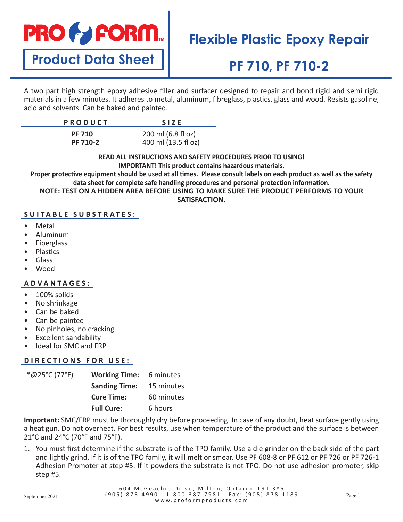

**Product Data Sheet**

# **Flexible Plastic Epoxy Repair**

# **PF 710, PF 710-2**

A two part high strength epoxy adhesive filler and surfacer designed to repair and bond rigid and semi rigid materials in a few minutes. It adheres to metal, aluminum, fibreglass, plastics, glass and wood. Resists gasoline, acid and solvents. Can be baked and painted.

| <b>PRODUCT</b> | <b>SIZE</b>         |
|----------------|---------------------|
| <b>PF 710</b>  | 200 ml (6.8 fl oz)  |
| PF 710-2       | 400 ml (13.5 fl oz) |

**READ ALL INSTRUCTIONS AND SAFETY PROCEDURES PRIOR TO USING! IMPORTANT! This product contains hazardous materials.**

**Proper protective equipment should be used at all times. Please consult labels on each product as well as the safety data sheet for complete safe handling procedures and personal protection information. NOTE: TEST ON A HIDDEN AREA BEFORE USING TO MAKE SURE THE PRODUCT PERFORMS TO YOUR** 

**SATISFACTION.**

### **SUITABLE SUBSTRATES:**

- Metal
- Aluminum
- **Fiberglass**
- **Plastics**
- Glass
- Wood

### **ADVANTAGES:**

- 100% solids
- No shrinkage
- Can be baked
- Can be painted
- No pinholes, no cracking
- Excellent sandability
- Ideal for SMC and FRP

### **DIRECTIONS FOR USE:**

| *@25°C (77°F) | <b>Working Time:</b> 6 minutes  |            |
|---------------|---------------------------------|------------|
|               | <b>Sanding Time:</b> 15 minutes |            |
|               | <b>Cure Time:</b>               | 60 minutes |
|               | <b>Full Cure:</b>               | 6 hours    |

**Important:** SMC/FRP must be thoroughly dry before proceeding. In case of any doubt, heat surface gently using a heat gun. Do not overheat. For best results, use when temperature of the product and the surface is between 21°C and 24°C (70°F and 75°F).

1. You must first determine if the substrate is of the TPO family. Use a die grinder on the back side of the part and lightly grind. If it is of the TPO family, it will melt or smear. Use PF 608-8 or PF 612 or PF 726 or PF 726-1 Adhesion Promoter at step #5. If it powders the substrate is not TPO. Do not use adhesion promoter, skip step #5.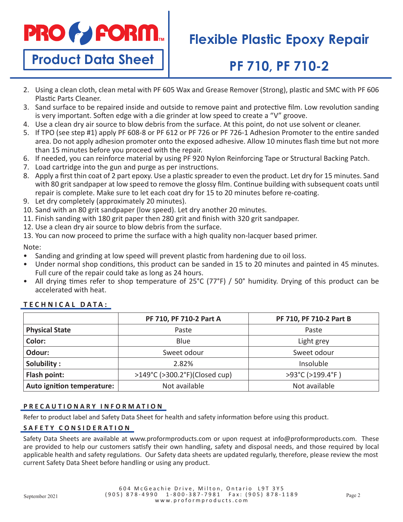

**Product Data Sheet**

## **Flexible Plastic Epoxy Repair**

# **PF 710, PF 710-2**

- 2. Using a clean cloth, clean metal with PF 605 Wax and Grease Remover (Strong), plastic and SMC with PF 606 Plastic Parts Cleaner.
- 3. Sand surface to be repaired inside and outside to remove paint and protective film. Low revolution sanding is very important. Soften edge with a die grinder at low speed to create a "V" groove.
- 4. Use a clean dry air source to blow debris from the surface. At this point, do not use solvent or cleaner.
- 5. If TPO (see step #1) apply PF 608-8 or PF 612 or PF 726 or PF 726-1 Adhesion Promoter to the entire sanded area. Do not apply adhesion promoter onto the exposed adhesive. Allow 10 minutes flash time but not more than 15 minutes before you proceed with the repair.
- 6. If needed, you can reinforce material by using PF 920 Nylon Reinforcing Tape or Structural Backing Patch.
- 7. Load cartridge into the gun and purge as per instructions.
- 8. Apply a first thin coat of 2 part epoxy. Use a plastic spreader to even the product. Let dry for 15 minutes. Sand with 80 grit sandpaper at low speed to remove the glossy film. Continue building with subsequent coats until repair is complete. Make sure to let each coat dry for 15 to 20 minutes before re-coating.
- 9. Let dry completely (approximately 20 minutes).
- 10. Sand with an 80 grit sandpaper (low speed). Let dry another 20 minutes.
- 11. Finish sanding with 180 grit paper then 280 grit and finish with 320 grit sandpaper.
- 12. Use a clean dry air source to blow debris from the surface.
- 13. You can now proceed to prime the surface with a high quality non-lacquer based primer.

### Note:

- Sanding and grinding at low speed will prevent plastic from hardening due to oil loss.
- Under normal shop conditions, this product can be sanded in 15 to 20 minutes and painted in 45 minutes. Full cure of the repair could take as long as 24 hours.
- All drying times refer to shop temperature of 25°C (77°F) / 50° humidity. Drying of this product can be accelerated with heat.

|                            | PF 710, PF 710-2 Part A       | PF 710, PF 710-2 Part B |
|----------------------------|-------------------------------|-------------------------|
| <b>Physical State</b>      | Paste                         | Paste                   |
| Color:                     | <b>Blue</b>                   | Light grey              |
| Odour:                     | Sweet odour                   | Sweet odour             |
| Solubility:                | 2.82%                         | Insoluble               |
| Flash point:               | >149°C (>300.2°F)(Closed cup) | >93°C (>199.4°F)        |
| Auto ignition temperature: | Not available                 | Not available           |

## **TECHNICAL DATA:**

#### **PRECAUTIONARY INFORMATION**

Refer to product label and Safety Data Sheet for health and safety information before using this product.

### **SAFETY CONSIDERATION**

Safety Data Sheets are available at www.proformproducts.com or upon request at info@proformproducts.com. These are provided to help our customers satisfy their own handling, safety and disposal needs, and those required by local applicable health and safety regulations. Our Safety data sheets are updated regularly, therefore, please review the most current Safety Data Sheet before handling or using any product.